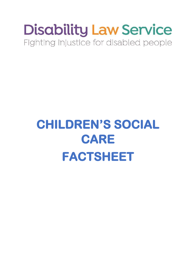## **Disability Law Service** Fighting injustice for disabled people

# **CHILDREN'S SOCIAL CARE FACTSHEET**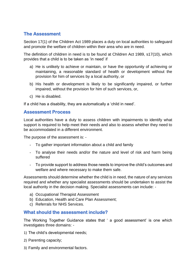### **The Assessment**

Section 17(1) of the Children Act 1989 places a duty on local authorities to safeguard and promote the welfare of children within their area who are in need.

The definition of children in need is to be found at Children Act 1989, s17(10), which provides that a child is to be taken as 'in need' if

- a) He is unlikely to achieve or maintain, or have the opportunity of achieving or maintaining, a reasonable standard of health or development without the provision for him of services by a local authority, or
- b) His health or development is likely to be significantly impaired, or further impaired, without the provision for him of such services, or,
- c) He is disabled.

If a child has a disability, they are automatically a 'child in need'.

#### **Assessment Process**

Local authorities have a duty to assess children with impairments to identify what support is required to help meet their needs and also to assess whether they need to be accommodated in a different environment.

The purpose of the assessment is: -

- To gather important information about a child and family
- To analyse their needs and/or the nature and level of risk and harm being suffered
- To provide support to address those needs to improve the child's outcomes and welfare and where necessary to make them safe.

Assessments should determine whether the child is in need, the nature of any services required and whether any specialist assessments should be undertaken to assist the local authority in the decision making. Specialist assessments can include: -

- a) Occupational Therapist Assessment
- b) Education, Health and Care Plan Assessment;
- c) Referrals for NHS Services.

#### **What should the assessment include?**

The Working Together Guidance states that ' a good assessment' is one which investigates three domains: -

- 1) The child's developmental needs;
- 2) Parenting capacity;
- 3) Family and environmental factors.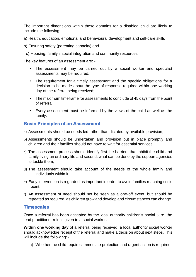The important dimensions within these domains for a disabled child are likely to include the following:

a) Health, education, emotional and behavioural development and self-care skills

b) Ensuring safety (parenting capacity) and

c) Housing, family's social integration and community resources

The key features of an assessment are: -

- The assessment may be carried out by a social worker and specialist assessments may be required;
- The requirement for a timely assessment and the specific obligations for a decision to be made about the type of response required within one working day of the referral being received;
- The maximum timeframe for assessments to conclude of 45 days from the point of referral;
- Every assessment must be informed by the views of the child as well as the family.

#### **Basic Principles of an Assessment**

- a) Assessments should be needs led rather than dictated by available provision;
- b) Assessments should be undertaken and provision put in place promptly and children and their families should not have to wait for essential services;
- c) The assessment process should identify first the barriers that inhibit the child and family living an ordinary life and second, what can be done by the support agencies to tackle them;
- d) The assessment should take account of the needs of the whole family and individuals within it,
- e) Early intervention is regarded as important in order to avoid families reaching crisis point;
- f) An assessment of need should not be seen as a one-off event, but should be repeated as required, as children grow and develop and circumstances can change.

#### **Timescales**

Once a referral has been accepted by the local authority children's social care, the lead practitioner role is given to a social worker.

**Within one working day** of a referral being received, a local authority social worker should acknowledge receipt of the referral and make a decision about next steps. This will include the following: -

a) Whether the child requires immediate protection and urgent action is required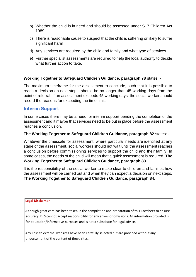- b) Whether the child is in need and should be assessed under S17 Children Act 1989
- c) There is reasonable cause to suspect that the child is suffering or likely to suffer significant harm
- d) Any services are required by the child and family and what type of services
- e) Further specialist assessments are required to help the local authority to decide what further action to take.

#### **Working Together to Safeguard Children Guidance, paragraph 78** states: -

The maximum timeframe for the assessment to conclude, such that it is possible to reach a decision on next steps, should be no longer than 45 working days from the point of referral. If an assessment exceeds 45 working days, the social worker should record the reasons for exceeding the time limit.

#### **Interim Support**

In some cases there may be a need for interim support pending the completion of the assessment and it maybe that services need to be put in place before the assessment reaches a conclusion.

#### **The Working Together to Safeguard Children Guidance, paragraph 82** states: -

Whatever the timescale for assessment, where particular needs are identified at any stage of the assessment, social workers should not wait until the assessment reaches a conclusion before commissioning services to support the child and their family. In some cases, the needs of the child will mean that a quick assessment is required. **The Working Together to Safeguard Children Guidance, paragraph 83.** 

It is the responsibility of the social worker to make clear to children and families how the assessment will be carried out and when they can expect a decision on next steps. **The Working Together to Safeguard Children Guidance, paragraph 84.** 

#### **Legal Disclaimer**

Although great care has been taken in the compilation and preparation of this Factsheet to ensure accuracy, DLS cannot accept responsibility for any errors or omissions. All information provided is for education/informative purposes and is not a substitute for legal advice.

Any links to external websites have been carefully selected but are provided without any endorsement of the content of those sites.